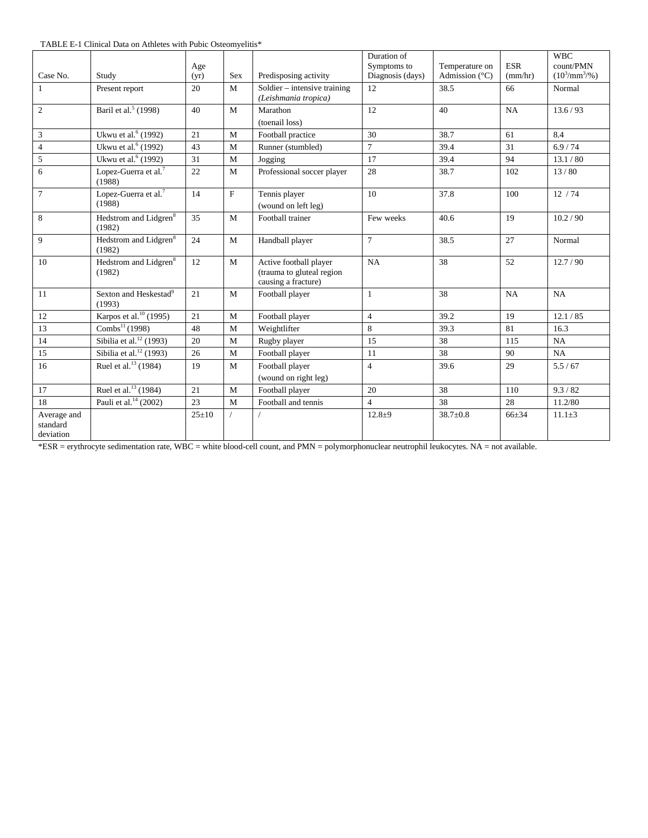TABLE E-1 Clinical Data on Athletes with Pubic Osteomyelitis\*

|                                      |                                             |             |              |                                                                            | Duration of      |                         |            | <b>WBC</b>              |
|--------------------------------------|---------------------------------------------|-------------|--------------|----------------------------------------------------------------------------|------------------|-------------------------|------------|-------------------------|
|                                      |                                             | Age         |              |                                                                            | Symptoms to      | Temperature on          | <b>ESR</b> | count/PMN               |
| Case No.                             | Study                                       | (yr)        | <b>Sex</b>   | Predisposing activity                                                      | Diagnosis (days) | Admission $(^{\circ}C)$ | (mm/hr)    | $(10^3/\text{mm}^3/\%)$ |
| -1                                   | Present report                              | 20          | M            | Soldier – intensive training<br>(Leishmania tropica)                       | 12               | 38.5                    | 66         | Normal                  |
| 2                                    | Baril et al. <sup>5</sup> (1998)            | 40          | $\mathbf{M}$ | Marathon                                                                   | 12               | 40                      | NA         | 13.6 / 93               |
|                                      |                                             |             |              | (toenail loss)                                                             |                  |                         |            |                         |
| $\sqrt{3}$                           | Ukwu et al. <sup>6</sup> (1992)             | 21          | M            | Football practice                                                          | 30               | 38.7                    | 61         | 8.4                     |
| $\overline{4}$                       | Ukwu et al. <sup>6</sup> (1992)             | 43          | M            | Runner (stumbled)                                                          | $\tau$           | 39.4                    | 31         | 6.9/74                  |
| 5                                    | Ukwu et al. <sup>6</sup> (1992)             | 31          | M            | Jogging                                                                    | 17               | 39.4                    | 94         | 13.1 / 80               |
| 6                                    | Lopez-Guerra et al. $7$<br>(1988)           | 22          | M            | Professional soccer player                                                 | 28               | 38.7                    | 102        | 13/80                   |
| $7\overline{ }$                      | Lopez-Guerra et al. <sup>7</sup>            | 14          | F            | Tennis player                                                              | 10               | 37.8                    | 100        | 12/74                   |
|                                      | (1988)                                      |             |              | (wound on left leg)                                                        |                  |                         |            |                         |
| $\overline{8}$                       | Hedstrom and Lidgren <sup>8</sup><br>(1982) | 35          | M            | Football trainer                                                           | Few weeks        | 40.6                    | 19         | 10.2 / 90               |
| 9                                    | Hedstrom and Lidgren <sup>8</sup><br>(1982) | 24          | M            | Handball player                                                            | $\overline{7}$   | 38.5                    | 27         | Normal                  |
| 10                                   | Hedstrom and Lidgren <sup>8</sup><br>(1982) | 12          | $\mathbf{M}$ | Active football player<br>(trauma to gluteal region<br>causing a fracture) | NA               | 38                      | 52         | 12.7/90                 |
| 11                                   | Sexton and Heskestad <sup>9</sup><br>(1993) | 21          | M            | Football player                                                            | $\mathbf{1}$     | 38                      | <b>NA</b>  | NA                      |
| 12                                   | Karpos et al. <sup>10</sup> (1995)          | 21          | M            | Football player                                                            | $\overline{4}$   | 39.2                    | 19         | 12.1 / 85               |
| 13                                   | Combs <sup>11</sup> (1998)                  | 48          | M            | Weightlifter                                                               | 8                | 39.3                    | 81         | 16.3                    |
| 14                                   | Sibilia et al. $^{12}$ (1993)               | 20          | M            | Rugby player                                                               | 15               | 38                      | 115        | NA                      |
| 15                                   | Sibilia et al. <sup>12</sup> (1993)         | 26          | $\mathbf M$  | Football player                                                            | 11               | 38                      | 90         | NA                      |
| 16                                   | Ruel et al. <sup>13</sup> (1984)            | 19          | M            | Football player                                                            | $\overline{4}$   | 39.6                    | 29         | 5.5/67                  |
|                                      |                                             |             |              | (wound on right leg)                                                       |                  |                         |            |                         |
| 17                                   | Ruel et al. <sup>13</sup> (1984)            | 21          | $\mathbf{M}$ | Football player                                                            | 20               | 38                      | 110        | 9.3 / 82                |
| 18                                   | Pauli et al. <sup>14</sup> (2002)           | 23          | M            | Football and tennis                                                        | $\overline{4}$   | 38                      | 28         | 11.2/80                 |
| Average and<br>standard<br>deviation |                                             | $25 \pm 10$ |              |                                                                            | $12.8 + 9$       | $38.7 \pm 0.8$          | $66 + 34$  | $11.1 \pm 3$            |

\*ESR = erythrocyte sedimentation rate, WBC = white blood-cell count, and PMN = polymorphonuclear neutrophil leukocytes. NA = not available.